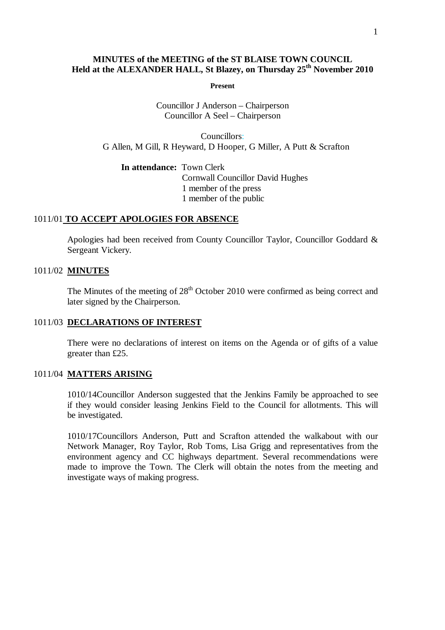# **MINUTES of the MEETING of the ST BLAISE TOWN COUNCIL Held at the ALEXANDER HALL, St Blazey, on Thursday 25 th November 2010**

**Present**

Councillor J Anderson – Chairperson Councillor A Seel – Chairperson

Councillors: G Allen, M Gill, R Heyward, D Hooper, G Miller, A Putt & Scrafton

**In attendance:** Town Clerk Cornwall Councillor David Hughes 1 member of the press 1 member of the public

## 1011/01 **TO ACCEPT APOLOGIES FOR ABSENCE**

Apologies had been received from County Councillor Taylor, Councillor Goddard & Sergeant Vickery.

#### 1011/02 **MINUTES**

The Minutes of the meeting of  $28<sup>th</sup>$  October 2010 were confirmed as being correct and later signed by the Chairperson.

#### 1011/03 **DECLARATIONS OF INTEREST**

There were no declarations of interest on items on the Agenda or of gifts of a value greater than £25.

#### 1011/04 **MATTERS ARISING**

1010/14Councillor Anderson suggested that the Jenkins Family be approached to see if they would consider leasing Jenkins Field to the Council for allotments. This will be investigated.

1010/17Councillors Anderson, Putt and Scrafton attended the walkabout with our Network Manager, Roy Taylor, Rob Toms, Lisa Grigg and representatives from the environment agency and CC highways department. Several recommendations were made to improve the Town. The Clerk will obtain the notes from the meeting and investigate ways of making progress.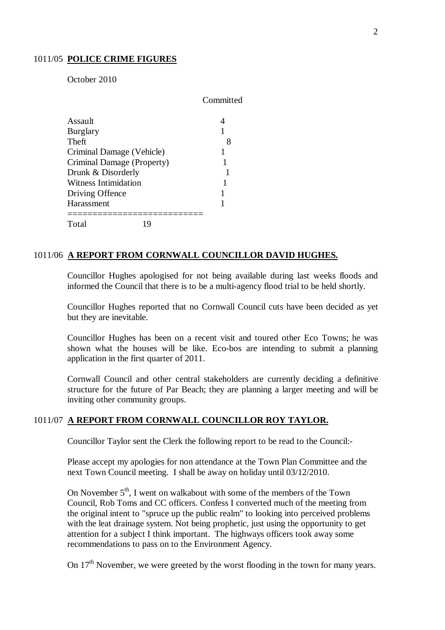#### 1011/05 **POLICE CRIME FIGURES**

October 2010

|                            | Committed |
|----------------------------|-----------|
| Assault                    |           |
| <b>Burglary</b>            |           |
| Theft                      | 8         |
| Criminal Damage (Vehicle)  |           |
| Criminal Damage (Property) |           |
| Drunk & Disorderly         |           |
| Witness Intimidation       |           |
| Driving Offence            |           |
| Harassment                 |           |
| Total<br>1 Q               |           |

# 1011/06 **A REPORT FROM CORNWALL COUNCILLOR DAVID HUGHES.**

Councillor Hughes apologised for not being available during last weeks floods and informed the Council that there is to be a multi-agency flood trial to be held shortly.

Councillor Hughes reported that no Cornwall Council cuts have been decided as yet but they are inevitable.

Councillor Hughes has been on a recent visit and toured other Eco Towns; he was shown what the houses will be like. Eco-bos are intending to submit a planning application in the first quarter of 2011.

Cornwall Council and other central stakeholders are currently deciding a definitive structure for the future of Par Beach; they are planning a larger meeting and will be inviting other community groups.

#### 1011/07 **A REPORT FROM CORNWALL COUNCILLOR ROY TAYLOR.**

Councillor Taylor sent the Clerk the following report to be read to the Council:-

Please accept my apologies for non attendance at the Town Plan Committee and the next Town Council meeting. I shall be away on holiday until 03/12/2010.

On November  $5<sup>th</sup>$ , I went on walkabout with some of the members of the Town Council, Rob Toms and CC officers. Confess I converted much of the meeting from the original intent to "spruce up the public realm" to looking into perceived problems with the leat drainage system. Not being prophetic, just using the opportunity to get attention for a subject I think important. The highways officers took away some recommendations to pass on to the Environment Agency.

On 17<sup>th</sup> November, we were greeted by the worst flooding in the town for many years.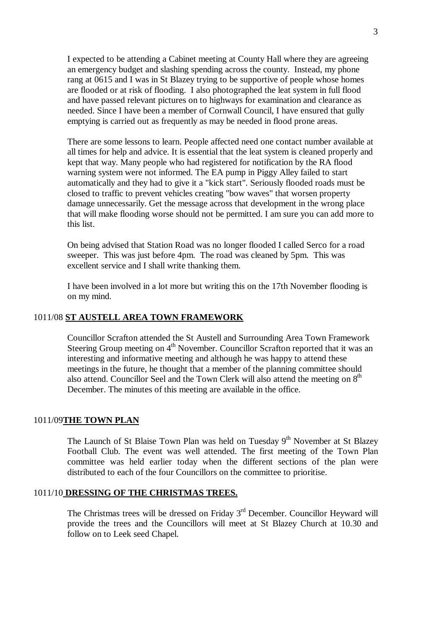I expected to be attending a Cabinet meeting at County Hall where they are agreeing an emergency budget and slashing spending across the county. Instead, my phone rang at 0615 and I was in St Blazey trying to be supportive of people whose homes are flooded or at risk of flooding. I also photographed the leat system in full flood and have passed relevant pictures on to highways for examination and clearance as needed. Since I have been a member of Cornwall Council, I have ensured that gully emptying is carried out as frequently as may be needed in flood prone areas.

There are some lessons to learn. People affected need one contact number available at all times for help and advice. It is essential that the leat system is cleaned properly and kept that way. Many people who had registered for notification by the RA flood warning system were not informed. The EA pump in Piggy Alley failed to start automatically and they had to give it a "kick start". Seriously flooded roads must be closed to traffic to prevent vehicles creating "bow waves" that worsen property damage unnecessarily. Get the message across that development in the wrong place that will make flooding worse should not be permitted. I am sure you can add more to this list.

On being advised that Station Road was no longer flooded I called Serco for a road sweeper. This was just before 4pm. The road was cleaned by 5pm. This was excellent service and I shall write thanking them.

I have been involved in a lot more but writing this on the 17th November flooding is on my mind.

## 1011/08 **ST AUSTELL AREA TOWN FRAMEWORK**

Councillor Scrafton attended the St Austell and Surrounding Area Town Framework Steering Group meeting on  $4<sup>th</sup>$  November. Councillor Scrafton reported that it was an interesting and informative meeting and although he was happy to attend these meetings in the future, he thought that a member of the planning committee should also attend. Councillor Seel and the Town Clerk will also attend the meeting on  $8<sup>th</sup>$ December. The minutes of this meeting are available in the office.

#### 1011/09**THE TOWN PLAN**

The Launch of St Blaise Town Plan was held on Tuesday  $9<sup>th</sup>$  November at St Blazey Football Club. The event was well attended. The first meeting of the Town Plan committee was held earlier today when the different sections of the plan were distributed to each of the four Councillors on the committee to prioritise.

#### 1011/10 **DRESSING OF THE CHRISTMAS TREES.**

The Christmas trees will be dressed on Friday 3<sup>rd</sup> December. Councillor Heyward will provide the trees and the Councillors will meet at St Blazey Church at 10.30 and follow on to Leek seed Chapel.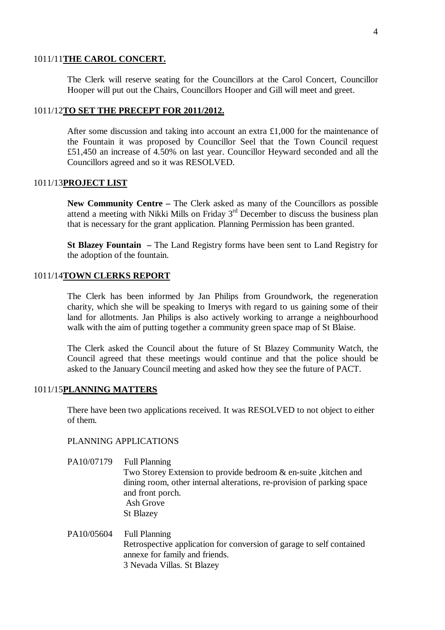#### 1011/11**THE CAROL CONCERT.**

The Clerk will reserve seating for the Councillors at the Carol Concert, Councillor Hooper will put out the Chairs, Councillors Hooper and Gill will meet and greet.

## 1011/12**TO SET THE PRECEPT FOR 2011/2012.**

After some discussion and taking into account an extra £1,000 for the maintenance of the Fountain it was proposed by Councillor Seel that the Town Council request £51,450 an increase of 4.50% on last year. Councillor Heyward seconded and all the Councillors agreed and so it was RESOLVED.

#### 1011/13**PROJECT LIST**

**New Community Centre –** The Clerk asked as many of the Councillors as possible attend a meeting with Nikki Mills on Friday 3rd December to discuss the business plan that is necessary for the grant application. Planning Permission has been granted.

**St Blazey Fountain –** The Land Registry forms have been sent to Land Registry for the adoption of the fountain.

## 1011/14**TOWN CLERKS REPORT**

The Clerk has been informed by Jan Philips from Groundwork, the regeneration charity, which she will be speaking to Imerys with regard to us gaining some of their land for allotments. Jan Philips is also actively working to arrange a neighbourhood walk with the aim of putting together a community green space map of St Blaise.

The Clerk asked the Council about the future of St Blazey Community Watch, the Council agreed that these meetings would continue and that the police should be asked to the January Council meeting and asked how they see the future of PACT.

# 1011/15**PLANNING MATTERS**

There have been two applications received. It was RESOLVED to not object to either of them.

#### PLANNING APPLICATIONS

- PA10/07179 Full Planning Two Storey Extension to provide bedroom & en-suite ,kitchen and dining room, other internal alterations, re-provision of parking space and front porch. Ash Grove St Blazey
- PA10/05604 Full Planning Retrospective application for conversion of garage to self contained annexe for family and friends. 3 Nevada Villas. St Blazey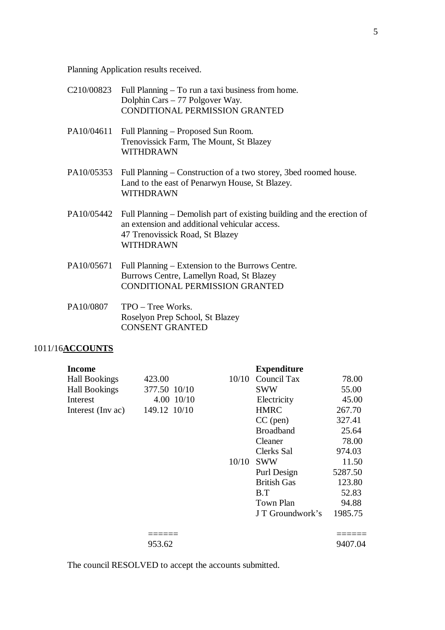Planning Application results received.

| C <sub>210</sub> /00823 | Full Planning – To run a taxi business from home.<br>Dolphin Cars – 77 Polgover Way.<br><b>CONDITIONAL PERMISSION GRANTED</b>                                           |
|-------------------------|-------------------------------------------------------------------------------------------------------------------------------------------------------------------------|
| PA10/04611              | Full Planning – Proposed Sun Room.<br>Trenovissick Farm, The Mount, St Blazey<br>WITHDRAWN                                                                              |
| PA10/05353              | Full Planning – Construction of a two storey, 3bed roomed house.<br>Land to the east of Penarwyn House, St Blazey.<br>WITHDRAWN                                         |
| PA10/05442              | Full Planning – Demolish part of existing building and the erection of<br>an extension and additional vehicular access.<br>47 Trenovissick Road, St Blazey<br>WITHDRAWN |
| PA10/05671              | Full Planning – Extension to the Burrows Centre.<br>Burrows Centre, Lamellyn Road, St Blazey<br><b>CONDITIONAL PERMISSION GRANTED</b>                                   |

PA10/0807 TPO – Tree Works. Roselyon Prep School, St Blazey CONSENT GRANTED

# 1011/16**ACCOUNTS**

| Income               |              |       | <b>Expenditure</b> |         |
|----------------------|--------------|-------|--------------------|---------|
| <b>Hall Bookings</b> | 423.00       | 10/10 | Council Tax        | 78.00   |
| <b>Hall Bookings</b> | 377.50 10/10 |       | <b>SWW</b>         | 55.00   |
| Interest             | 4.00 10/10   |       | Electricity        | 45.00   |
| Interest (Inv ac)    | 149.12 10/10 |       | <b>HMRC</b>        | 267.70  |
|                      |              |       | $CC$ (pen)         | 327.41  |
|                      |              |       | <b>Broadband</b>   | 25.64   |
|                      |              |       | Cleaner            | 78.00   |
|                      |              |       | Clerks Sal         | 974.03  |
|                      |              | 10/10 | <b>SWW</b>         | 11.50   |
|                      |              |       | Purl Design        | 5287.50 |
|                      |              |       | <b>British Gas</b> | 123.80  |
|                      |              |       | B.T                | 52.83   |
|                      |              |       | <b>Town Plan</b>   | 94.88   |
|                      |              |       | J T Groundwork's   | 1985.75 |
|                      |              |       |                    |         |
|                      | 953.62       |       |                    | 9407.04 |

The council RESOLVED to accept the accounts submitted.